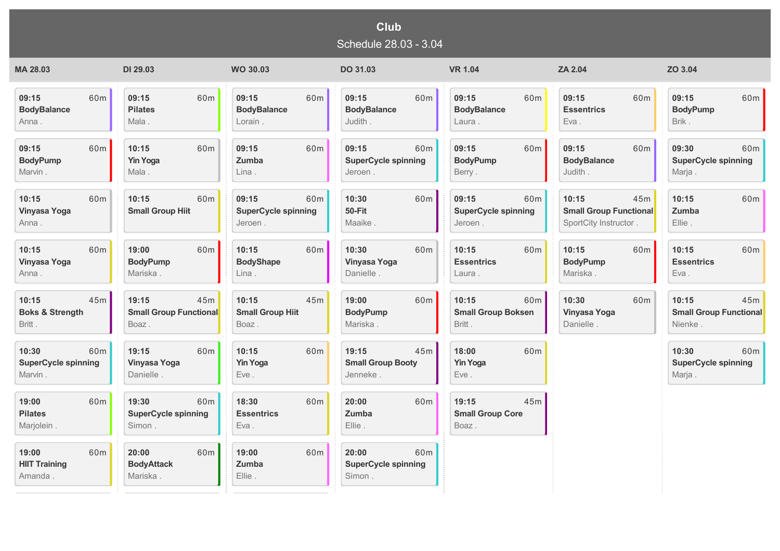## **Club** Schedule 28.03 - 3.04

| MA 28.03                                        | DI 29.03                                                         | <b>WO 30.03</b>                                       | DO 31.03                                             | <b>VR 1.04</b>                                        | ZA 2.04                                                                | ZO 3.04                                |
|-------------------------------------------------|------------------------------------------------------------------|-------------------------------------------------------|------------------------------------------------------|-------------------------------------------------------|------------------------------------------------------------------------|----------------------------------------|
| 60 <sub>m</sub>                                 | 09:15                                                            | 60m                                                   | 60 <sub>m</sub>                                      | 60m                                                   | 09:15                                                                  | 60 <sub>m</sub>                        |
| 09:15                                           | 60 <sub>m</sub>                                                  | 09:15                                                 | 09:15                                                | 09:15                                                 | 60m                                                                    | 09:15                                  |
| <b>BodyBalance</b>                              | <b>Pilates</b>                                                   | <b>BodyBalance</b>                                    | <b>BodyBalance</b>                                   | <b>BodyBalance</b>                                    | <b>Essentrics</b>                                                      | <b>BodyPump</b>                        |
| Anna.                                           | Mala.                                                            | Lorain.                                               | Judith.                                              | Laura .                                               | Eva.                                                                   | Brik.                                  |
| 60m                                             | 10:15                                                            | 09:15                                                 | 09:15                                                | 09:15                                                 | 09:15                                                                  | 09:30                                  |
| 09:15                                           | 60 <sub>m</sub>                                                  | 60 <sub>m</sub>                                       | 60 <sub>m</sub>                                      | 60m                                                   | 60m                                                                    | 60 <sub>m</sub>                        |
| <b>BodyPump</b>                                 | <b>Yin Yoga</b>                                                  | Zumba                                                 | <b>SuperCycle spinning</b>                           | <b>BodyPump</b>                                       | <b>BodyBalance</b>                                                     | <b>SuperCycle spinning</b>             |
| Marvin.                                         | Mala.                                                            | Lina.                                                 | Jeroen.                                              | Berry.                                                | Judith.                                                                | Marja.                                 |
| 10:15<br>60m<br><b>Vinyasa Yoga</b><br>Anna.    | 10:15<br>60m<br><b>Small Group Hiit</b>                          | 09:15<br>60m<br><b>SuperCycle spinning</b><br>Jeroen. | 10:30<br>60m<br>50-Fit<br>Maaike.                    | 09:15<br>60m<br><b>SuperCycle spinning</b><br>Jeroen. | 10:15<br>45m<br><b>Small Group Functional</b><br>SportCity Instructor. | 10:15<br>60m<br><b>Zumba</b><br>Ellie. |
| 60m                                             | 60 <sub>m</sub>                                                  | 10:15                                                 | 10:30                                                | 10:15                                                 | 60 <sub>m</sub>                                                        | 60m                                    |
| 10:15                                           | 19:00                                                            | 60m                                                   | 60m                                                  | 60m                                                   | 10:15                                                                  | 10:15                                  |
| <b>Vinyasa Yoga</b>                             | <b>BodyPump</b>                                                  | <b>BodyShape</b>                                      | Vinyasa Yoga                                         | <b>Essentrics</b>                                     | <b>BodyPump</b>                                                        | <b>Essentrics</b>                      |
| Anna.                                           | Mariska.                                                         | Lina.                                                 | Danielle.                                            | Laura.                                                | Mariska.                                                               | Eva.                                   |
| 45m                                             | 19:15                                                            | 10:15                                                 | 19:00                                                | 60 <sub>m</sub>                                       | 10:30                                                                  | 10:15                                  |
| 10:15                                           | 45m                                                              | 45m                                                   | 60m                                                  | 10:15                                                 | 60m                                                                    | 45m                                    |
| <b>Boks &amp; Strength</b>                      | <b>Small Group Functional</b>                                    | <b>Small Group Hiit</b>                               | <b>BodyPump</b>                                      | <b>Small Group Boksen</b>                             | <b>Vinyasa Yoga</b>                                                    | <b>Small Group Functional</b>          |
| Britt.                                          | Boaz.                                                            | Boaz.                                                 | Mariska.                                             | Britt.                                                | Danielle.                                                              | Nienke.                                |
| 10:30                                           | 19:15                                                            | 60m                                                   | 19:15                                                | 18:00                                                 |                                                                        | 60m                                    |
| 60m                                             | 60 <sub>m</sub>                                                  | 10:15                                                 | 45m                                                  | 60m                                                   |                                                                        | 10:30                                  |
| <b>SuperCycle spinning</b>                      | <b>Vinyasa Yoga</b>                                              | <b>Yin Yoga</b>                                       | <b>Small Group Booty</b>                             | <b>Yin Yoga</b>                                       |                                                                        | <b>SuperCycle spinning</b>             |
| Marvin.                                         | Danielle.                                                        | Eve.                                                  | Jenneke.                                             | Eve.                                                  |                                                                        | Marja.                                 |
| 19:00<br>60m<br><b>Pilates</b><br>Marjolein.    | 19:30<br>60 <sub>m</sub><br><b>SuperCycle spinning</b><br>Simon. | 18:30<br>60m<br><b>Essentrics</b><br>Eva.             | 20:00<br>60m<br>Zumba<br>Ellie.                      | 19:15<br>45m<br><b>Small Group Core</b><br>Boaz.      |                                                                        |                                        |
| 19:00<br>60m<br><b>HIIT Training</b><br>Amanda. | 20:00<br>60 <sub>m</sub><br><b>BodyAttack</b><br>Mariska.        | 19:00<br>60 <sub>m</sub><br>Zumba<br>Ellie.           | 20:00<br>60m<br><b>SuperCycle spinning</b><br>Simon. |                                                       |                                                                        |                                        |